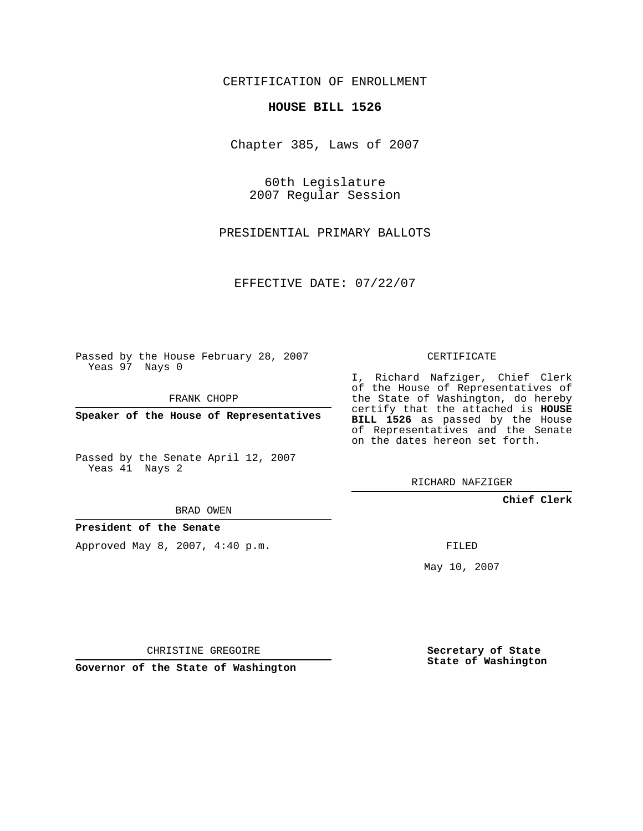CERTIFICATION OF ENROLLMENT

## **HOUSE BILL 1526**

Chapter 385, Laws of 2007

60th Legislature 2007 Regular Session

PRESIDENTIAL PRIMARY BALLOTS

EFFECTIVE DATE: 07/22/07

Passed by the House February 28, 2007 Yeas 97 Nays 0

FRANK CHOPP

**Speaker of the House of Representatives**

Passed by the Senate April 12, 2007 Yeas 41 Nays 2

I, Richard Nafziger, Chief Clerk of the House of Representatives of the State of Washington, do hereby certify that the attached is **HOUSE BILL 1526** as passed by the House of Representatives and the Senate on the dates hereon set forth.

CERTIFICATE

RICHARD NAFZIGER

**Chief Clerk**

BRAD OWEN

**President of the Senate**

Approved May 8, 2007, 4:40 p.m.

FILED

May 10, 2007

**Secretary of State State of Washington**

CHRISTINE GREGOIRE

**Governor of the State of Washington**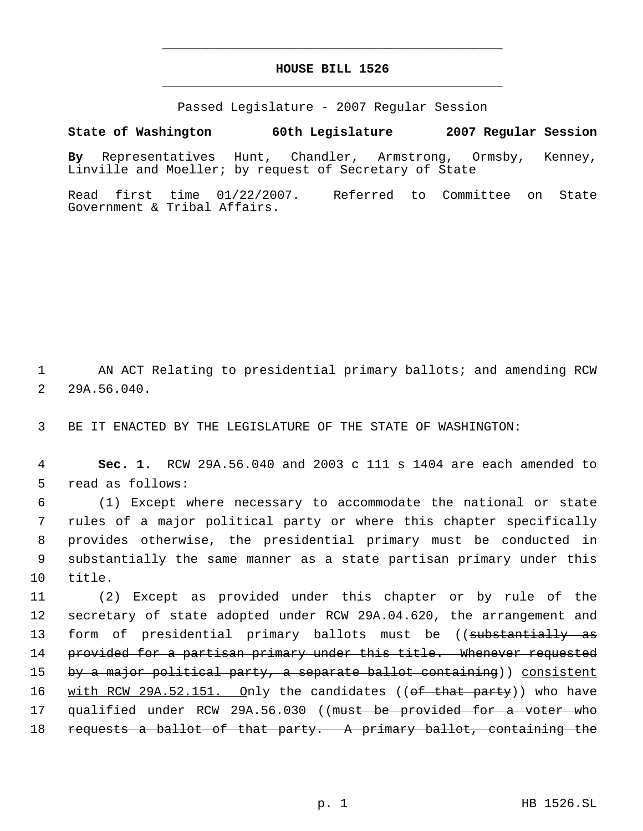## **HOUSE BILL 1526** \_\_\_\_\_\_\_\_\_\_\_\_\_\_\_\_\_\_\_\_\_\_\_\_\_\_\_\_\_\_\_\_\_\_\_\_\_\_\_\_\_\_\_\_\_

\_\_\_\_\_\_\_\_\_\_\_\_\_\_\_\_\_\_\_\_\_\_\_\_\_\_\_\_\_\_\_\_\_\_\_\_\_\_\_\_\_\_\_\_\_

Passed Legislature - 2007 Regular Session

## **State of Washington 60th Legislature 2007 Regular Session**

**By** Representatives Hunt, Chandler, Armstrong, Ormsby, Kenney, Linville and Moeller; by request of Secretary of State

Read first time 01/22/2007. Referred to Committee on State Government & Tribal Affairs.

 1 AN ACT Relating to presidential primary ballots; and amending RCW 2 29A.56.040.

3 BE IT ENACTED BY THE LEGISLATURE OF THE STATE OF WASHINGTON:

 4 **Sec. 1.** RCW 29A.56.040 and 2003 c 111 s 1404 are each amended to 5 read as follows:

 (1) Except where necessary to accommodate the national or state rules of a major political party or where this chapter specifically provides otherwise, the presidential primary must be conducted in substantially the same manner as a state partisan primary under this 10 title.

11 (2) Except as provided under this chapter or by rule of the 12 secretary of state adopted under RCW 29A.04.620, the arrangement and 13 form of presidential primary ballots must be ((substantially as 14 provided for a partisan primary under this title. Whenever requested 15 by a major political party, a separate ballot containing)) consistent 16 with RCW 29A.52.151. Only the candidates ((of that party)) who have 17 qualified under RCW 29A.56.030 ((must be provided for a voter who 18 requests a ballot of that party. A primary ballot, containing the